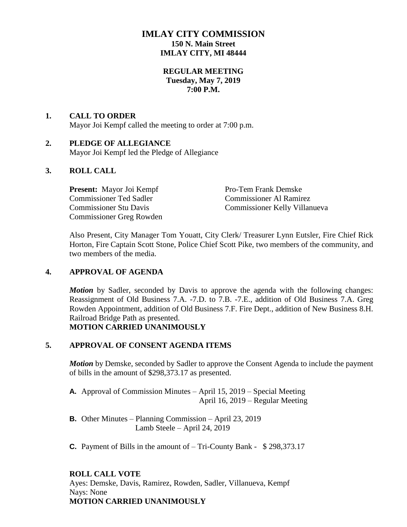## **IMLAY CITY COMMISSION 150 N. Main Street IMLAY CITY, MI 48444**

## **REGULAR MEETING Tuesday, May 7, 2019 7:00 P.M.**

## **1. CALL TO ORDER**

Mayor Joi Kempf called the meeting to order at 7:00 p.m.

## **2. PLEDGE OF ALLEGIANCE**

Mayor Joi Kempf led the Pledge of Allegiance

## **3. ROLL CALL**

**Present:** Mayor Joi Kempf Pro-Tem Frank Demske Commissioner Ted Sadler Commissioner Al Ramirez Commissioner Greg Rowden

Commissioner Stu Davis Commissioner Kelly Villanueva

Also Present, City Manager Tom Youatt, City Clerk/ Treasurer Lynn Eutsler, Fire Chief Rick Horton, Fire Captain Scott Stone, Police Chief Scott Pike, two members of the community, and two members of the media.

#### **4. APPROVAL OF AGENDA**

*Motion* by Sadler, seconded by Davis to approve the agenda with the following changes: Reassignment of Old Business 7.A. -7.D. to 7.B. -7.E., addition of Old Business 7.A. Greg Rowden Appointment, addition of Old Business 7.F. Fire Dept., addition of New Business 8.H. Railroad Bridge Path as presented. **MOTION CARRIED UNANIMOUSLY**

#### **5. APPROVAL OF CONSENT AGENDA ITEMS**

*Motion* by Demske, seconded by Sadler to approve the Consent Agenda to include the payment of bills in the amount of \$298,373.17 as presented.

- **A.** Approval of Commission Minutes April 15, 2019 Special Meeting April 16, 2019 – Regular Meeting
- **B.** Other Minutes Planning Commission April 23, 2019 Lamb Steele – April 24, 2019
- **C.** Payment of Bills in the amount of Tri-County Bank \$ 298,373.17

## **ROLL CALL VOTE**

Ayes: Demske, Davis, Ramirez, Rowden, Sadler, Villanueva, Kempf Nays: None **MOTION CARRIED UNANIMOUSLY**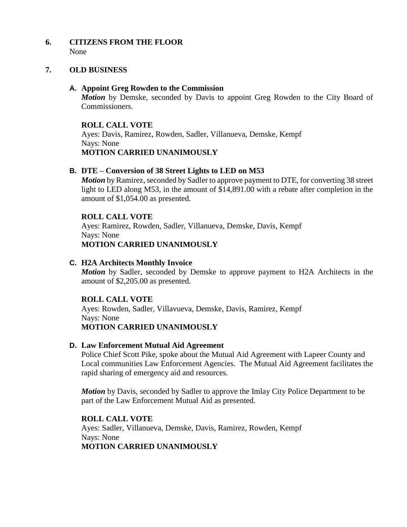#### **6. CITIZENS FROM THE FLOOR** None

#### **7. OLD BUSINESS**

#### **A. Appoint Greg Rowden to the Commission**

*Motion* by Demske, seconded by Davis to appoint Greg Rowden to the City Board of Commissioners.

#### **ROLL CALL VOTE**

Ayes: Davis, Ramirez, Rowden, Sadler, Villanueva, Demske, Kempf Nays: None **MOTION CARRIED UNANIMOUSLY**

## **B. DTE – Conversion of 38 Street Lights to LED on M53**

*Motion* by Ramirez, seconded by Sadler to approve payment to DTE, for converting 38 street light to LED along M53, in the amount of \$14,891.00 with a rebate after completion in the amount of \$1,054.00 as presented.

#### **ROLL CALL VOTE**

Ayes: Ramirez, Rowden, Sadler, Villanueva, Demske, Davis, Kempf Nays: None **MOTION CARRIED UNANIMOUSLY**

#### **C. H2A Architects Monthly Invoice**

*Motion* by Sadler, seconded by Demske to approve payment to H2A Architects in the amount of \$2,205.00 as presented.

#### **ROLL CALL VOTE**

Ayes: Rowden, Sadler, Villavueva, Demske, Davis, Ramirez, Kempf Nays: None **MOTION CARRIED UNANIMOUSLY**

#### **D. Law Enforcement Mutual Aid Agreement**

Police Chief Scott Pike, spoke about the Mutual Aid Agreement with Lapeer County and Local communities Law Enforcement Agencies. The Mutual Aid Agreement facilitates the rapid sharing of emergency aid and resources.

*Motion* by Davis, seconded by Sadler to approve the Imlay City Police Department to be part of the Law Enforcement Mutual Aid as presented.

#### **ROLL CALL VOTE** Ayes: Sadler, Villanueva, Demske, Davis, Ramirez, Rowden, Kempf Nays: None **MOTION CARRIED UNANIMOUSLY**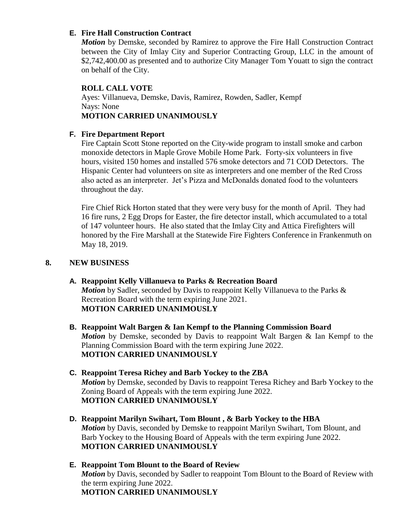## **E. Fire Hall Construction Contract**

*Motion* by Demske, seconded by Ramirez to approve the Fire Hall Construction Contract between the City of Imlay City and Superior Contracting Group, LLC in the amount of \$2,742,400.00 as presented and to authorize City Manager Tom Youatt to sign the contract on behalf of the City.

#### **ROLL CALL VOTE**

Ayes: Villanueva, Demske, Davis, Ramirez, Rowden, Sadler, Kempf Nays: None **MOTION CARRIED UNANIMOUSLY**

## **F. Fire Department Report**

Fire Captain Scott Stone reported on the City-wide program to install smoke and carbon monoxide detectors in Maple Grove Mobile Home Park. Forty-six volunteers in five hours, visited 150 homes and installed 576 smoke detectors and 71 COD Detectors. The Hispanic Center had volunteers on site as interpreters and one member of the Red Cross also acted as an interpreter. Jet's Pizza and McDonalds donated food to the volunteers throughout the day.

Fire Chief Rick Horton stated that they were very busy for the month of April. They had 16 fire runs, 2 Egg Drops for Easter, the fire detector install, which accumulated to a total of 147 volunteer hours. He also stated that the Imlay City and Attica Firefighters will honored by the Fire Marshall at the Statewide Fire Fighters Conference in Frankenmuth on May 18, 2019.

## **8. NEW BUSINESS**

- **A. Reappoint Kelly Villanueva to Parks & Recreation Board** *Motion* by Sadler, seconded by Davis to reappoint Kelly Villanueva to the Parks & Recreation Board with the term expiring June 2021. **MOTION CARRIED UNANIMOUSLY**
- **B. Reappoint Walt Bargen & Ian Kempf to the Planning Commission Board** *Motion* by Demske, seconded by Davis to reappoint Walt Bargen & Ian Kempf to the Planning Commission Board with the term expiring June 2022. **MOTION CARRIED UNANIMOUSLY**
- **C. Reappoint Teresa Richey and Barb Yockey to the ZBA** *Motion* by Demske, seconded by Davis to reappoint Teresa Richey and Barb Yockey to the Zoning Board of Appeals with the term expiring June 2022. **MOTION CARRIED UNANIMOUSLY**
- **D. Reappoint Marilyn Swihart, Tom Blount , & Barb Yockey to the HBA**  *Motion* by Davis, seconded by Demske to reappoint Marilyn Swihart, Tom Blount, and Barb Yockey to the Housing Board of Appeals with the term expiring June 2022. **MOTION CARRIED UNANIMOUSLY**
- **E. Reappoint Tom Blount to the Board of Review** *Motion* by Davis, seconded by Sadler to reappoint Tom Blount to the Board of Review with the term expiring June 2022. **MOTION CARRIED UNANIMOUSLY**